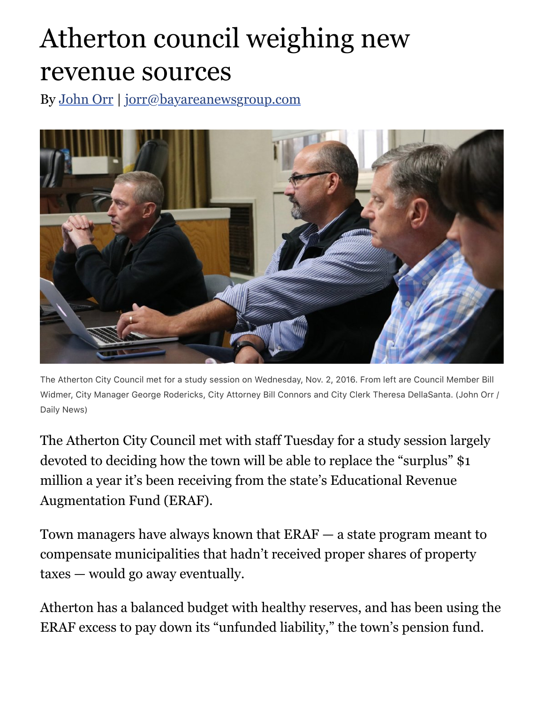## Atherton council weighing new revenue sources

By [John Orr](http://www.mercurynews.com/author/john-orr/) | [jorr@bayareanewsgroup.com](mailto:jorr@bayareanewsgroup.com)



The Atherton City Council met for a study session on Wednesday, Nov. 2, 2016. From left are Council Member Bill Widmer, City Manager George Rodericks, City Attorney Bill Connors and City Clerk Theresa DellaSanta. (John Orr / Daily News)

The Atherton City Council met with staff Tuesday for a study session largely devoted to deciding how the town will be able to replace the "surplus" \$1 million a year it's been receiving from the state's Educational Revenue Augmentation Fund (ERAF).

Town managers have always known that ERAF — a state program meant to compensate municipalities that hadn't received proper shares of property taxes — would go away eventually.

Atherton has a balanced budget with healthy reserves, and has been using the ERAF excess to pay down its "unfunded liability," the town's pension fund.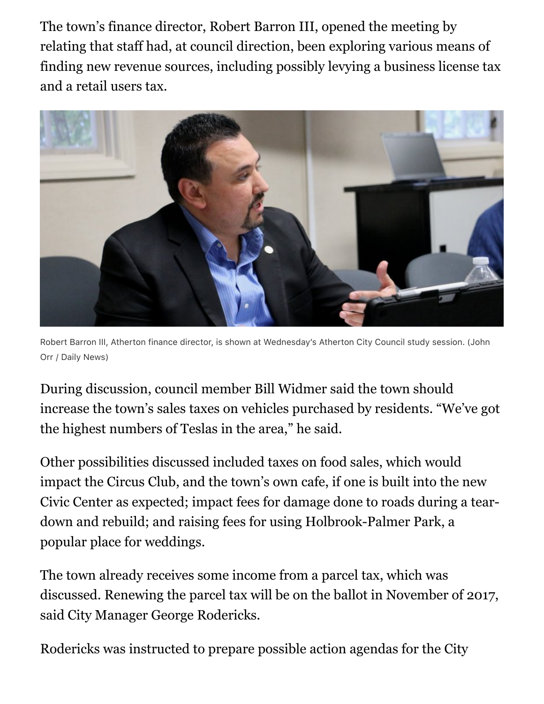The town's finance director, Robert Barron III, opened the meeting by relating that staff had, at council direction, been exploring various means of finding new revenue sources, including possibly levying a business license tax and a retail users tax.



Robert Barron III, Atherton finance director, is shown at Wednesday's Atherton City Council study session. (John Orr / Daily News)

During discussion, council member Bill Widmer said the town should increase the town's sales taxes on vehicles purchased by residents. "We've got the highest numbers of Teslas in the area," he said.

Other possibilities discussed included taxes on food sales, which would impact the Circus Club, and the town's own cafe, if one is built into the new Civic Center as expected; impact fees for damage done to roads during a teardown and rebuild; and raising fees for using Holbrook-Palmer Park, a popular place for weddings.

The town already receives some income from a parcel tax, which was discussed. Renewing the parcel tax will be on the ballot in November of 2017, said City Manager George Rodericks.

Rodericks was instructed to prepare possible action agendas for the City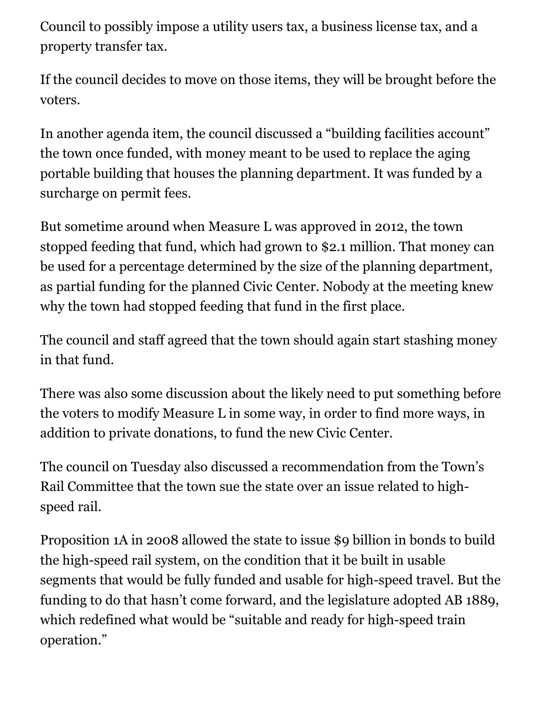Council to possibly impose a utility users tax, a business license tax, and a property transfer tax.

If the council decides to move on those items, they will be brought before the voters.

In another agenda item, the council discussed a "building facilities account" the town once funded, with money meant to be used to replace the aging portable building that houses the planning department. It was funded by a surcharge on permit fees.

But sometime around when Measure L was approved in 2012, the town stopped feeding that fund, which had grown to \$2.1 million. That money can be used for a percentage determined by the size of the planning department, as partial funding for the planned Civic Center. Nobody at the meeting knew why the town had stopped feeding that fund in the first place.

The council and staff agreed that the town should again start stashing money in that fund.

There was also some discussion about the likely need to put something before the voters to modify Measure L in some way, in order to find more ways, in addition to private donations, to fund the new Civic Center.

The council on Tuesday also discussed a recommendation from the Town's Rail Committee that the town sue the state over an issue related to highspeed rail.

Proposition 1A in 2008 allowed the state to issue \$9 billion in bonds to build the high-speed rail system, on the condition that it be built in usable segments that would be fully funded and usable for high-speed travel. But the funding to do that hasn't come forward, and the legislature adopted AB 1889, which redefined what would be "suitable and ready for high-speed train operation."